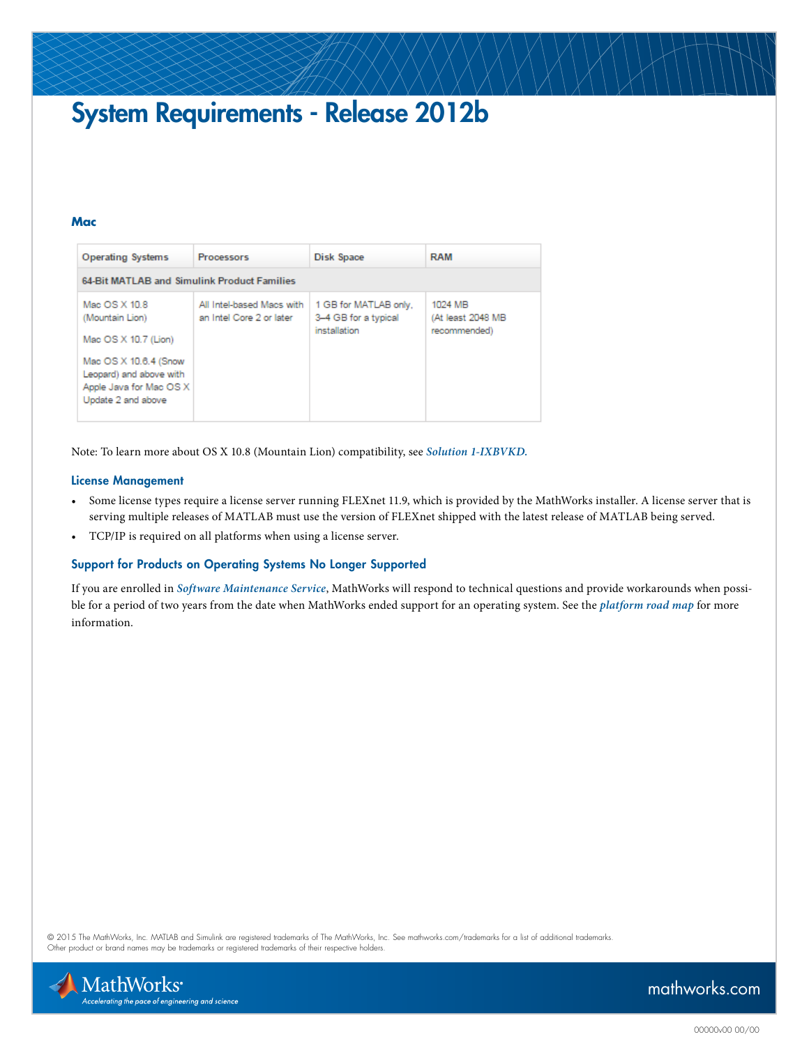# System Requirements - Release 2012b

#### **Mac**

| <b>Operating Systems</b>                                                                                                                                      | <b>Processors</b>                                     | Disk Space                                                    | <b>RAM</b>                                   |
|---------------------------------------------------------------------------------------------------------------------------------------------------------------|-------------------------------------------------------|---------------------------------------------------------------|----------------------------------------------|
| 64-Bit MATLAB and Simulink Product Families                                                                                                                   |                                                       |                                                               |                                              |
| Mac OS X 10.8<br>(Mountain Lion)<br>Mac OS X 10.7 (Lion)<br>Mac OS X 10.6.4 (Snow<br>Leopard) and above with<br>Apple Java for Mac OS X<br>Update 2 and above | All Intel-based Macs with<br>an Intel Core 2 or later | 1 GB for MATLAB only,<br>3-4 GB for a typical<br>installation | 1024 MB<br>(At least 2048 MB<br>recommended) |

Note: To learn more about OS X 10.8 (Mountain Lion) compatibility, see *[Solution 1-IXBVKD.](http://www.mathworks.com/support/solutions/en/data/1-IXBVKD)*

#### License Management

- Some license types require a license server running FLEXnet 11.9, which is provided by the MathWorks installer. A license server that is serving multiple releases of MATLAB must use the version of FLEXnet shipped with the latest release of MATLAB being served.
- TCP/IP is required on all platforms when using a license server.

#### Support for Products on Operating Systems No Longer Supported

If you are enrolled in *[Software Maintenance Service](http://www.mathworks.com/services/maintenance/)*, MathWorks will respond to technical questions and provide workarounds when possible for a period of two years from the date when MathWorks ended support for an operating system. See the *[platform road map](http://www.mathworks.com/support/sysreq/roadmap.html)* for more information.

© 2015 The MathWorks, Inc. MATLAB and Simulink are registered trademarks of The MathWorks, Inc. See [mathworks.com/trademarks](http://www.mathworks.com/trademarks) for a list of additional trademarks. Other product or brand names may be trademarks or registered trademarks of their respective holders.



### [mathworks.com](http://www.mathworks.com)